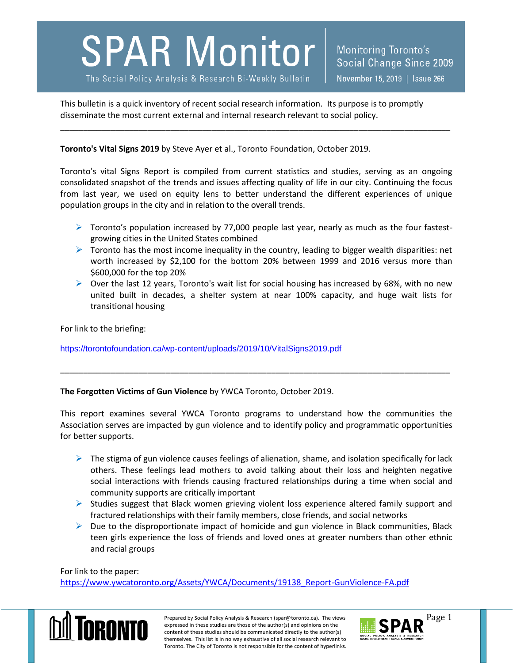## **SPAR Monitor**

The Social Policy Analysis & Research Bi-Weekly Bulletin

This bulletin is a quick inventory of recent social research information. Its purpose is to promptly disseminate the most current external and internal research relevant to social policy.

**Toronto's Vital Signs 2019** by Steve Ayer et al., Toronto Foundation, October 2019.

Toronto's vital Signs Report is compiled from current statistics and studies, serving as an ongoing consolidated snapshot of the trends and issues affecting quality of life in our city. Continuing the focus from last year, we used on equity lens to better understand the different experiences of unique population groups in the city and in relation to the overall trends.

\_\_\_\_\_\_\_\_\_\_\_\_\_\_\_\_\_\_\_\_\_\_\_\_\_\_\_\_\_\_\_\_\_\_\_\_\_\_\_\_\_\_\_\_\_\_\_\_\_\_\_\_\_\_\_\_\_\_\_\_\_\_\_\_\_\_\_\_\_\_\_\_\_\_\_\_\_\_\_\_\_\_\_\_\_

- $\triangleright$  Toronto's population increased by 77,000 people last year, nearly as much as the four fastestgrowing cities in the United States combined
- $\triangleright$  Toronto has the most income inequality in the country, leading to bigger wealth disparities: net worth increased by \$2,100 for the bottom 20% between 1999 and 2016 versus more than \$600,000 for the top 20%
- $\triangleright$  Over the last 12 years, Toronto's wait list for social housing has increased by 68%, with no new united built in decades, a shelter system at near 100% capacity, and huge wait lists for transitional housing

For link to the briefing:

<https://torontofoundation.ca/wp-content/uploads/2019/10/VitalSigns2019.pdf>

**The Forgotten Victims of Gun Violence** by YWCA Toronto, October 2019.

This report examines several YWCA Toronto programs to understand how the communities the Association serves are impacted by gun violence and to identify policy and programmatic opportunities for better supports.

\_\_\_\_\_\_\_\_\_\_\_\_\_\_\_\_\_\_\_\_\_\_\_\_\_\_\_\_\_\_\_\_\_\_\_\_\_\_\_\_\_\_\_\_\_\_\_\_\_\_\_\_\_\_\_\_\_\_\_\_\_\_\_\_\_\_\_\_\_\_\_\_\_\_\_\_\_\_\_\_\_\_\_\_\_

- $\triangleright$  The stigma of gun violence causes feelings of alienation, shame, and isolation specifically for lack others. These feelings lead mothers to avoid talking about their loss and heighten negative social interactions with friends causing fractured relationships during a time when social and community supports are critically important
- $\triangleright$  Studies suggest that Black women grieving violent loss experience altered family support and fractured relationships with their family members, close friends, and social networks
- $\triangleright$  Due to the disproportionate impact of homicide and gun violence in Black communities, Black teen girls experience the loss of friends and loved ones at greater numbers than other ethnic and racial groups

For link to the paper:

[https://www.ywcatoronto.org/Assets/YWCA/Documents/19138\\_Report-GunViolence-FA.pdf](https://www.ywcatoronto.org/Assets/YWCA/Documents/19138_Report-GunViolence-FA.pdf)



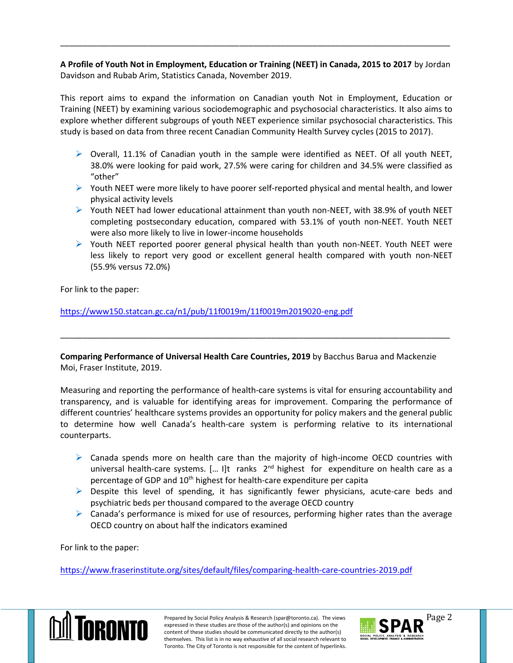**A Profile of Youth Not in Employment, Education or Training (NEET) in Canada, 2015 to 2017** by Jordan Davidson and Rubab Arim, Statistics Canada, November 2019.

\_\_\_\_\_\_\_\_\_\_\_\_\_\_\_\_\_\_\_\_\_\_\_\_\_\_\_\_\_\_\_\_\_\_\_\_\_\_\_\_\_\_\_\_\_\_\_\_\_\_\_\_\_\_\_\_\_\_\_\_\_\_\_\_\_\_\_\_\_\_\_\_\_\_\_\_\_\_\_\_\_\_\_\_\_

This report aims to expand the information on Canadian youth Not in Employment, Education or Training (NEET) by examining various sociodemographic and psychosocial characteristics. It also aims to explore whether different subgroups of youth NEET experience similar psychosocial characteristics. This study is based on data from three recent Canadian Community Health Survey cycles (2015 to 2017).

- $\triangleright$  Overall, 11.1% of Canadian youth in the sample were identified as NEET. Of all youth NEET, 38.0% were looking for paid work, 27.5% were caring for children and 34.5% were classified as "other"
- $\triangleright$  Youth NEET were more likely to have poorer self-reported physical and mental health, and lower physical activity levels
- $\triangleright$  Youth NEET had lower educational attainment than youth non-NEET, with 38.9% of youth NEET completing postsecondary education, compared with 53.1% of youth non-NEET. Youth NEET were also more likely to live in lower-income households
- $\triangleright$  Youth NEET reported poorer general physical health than youth non-NEET. Youth NEET were less likely to report very good or excellent general health compared with youth non-NEET (55.9% versus 72.0%)

For link to the paper:

<https://www150.statcan.gc.ca/n1/pub/11f0019m/11f0019m2019020-eng.pdf>

**Comparing Performance of Universal Health Care Countries, 2019** by Bacchus Barua and Mackenzie Moi, Fraser Institute, 2019.

\_\_\_\_\_\_\_\_\_\_\_\_\_\_\_\_\_\_\_\_\_\_\_\_\_\_\_\_\_\_\_\_\_\_\_\_\_\_\_\_\_\_\_\_\_\_\_\_\_\_\_\_\_\_\_\_\_\_\_\_\_\_\_\_\_\_\_\_\_\_\_\_\_\_\_\_\_\_\_\_\_\_\_\_\_

Measuring and reporting the performance of health-care systems is vital for ensuring accountability and transparency, and is valuable for identifying areas for improvement. Comparing the performance of different countries' healthcare systems provides an opportunity for policy makers and the general public to determine how well Canada's health-care system is performing relative to its international counterparts.

- $\triangleright$  Canada spends more on health care than the majority of high-income OECD countries with universal health-care systems. [... I]t ranks 2<sup>nd</sup> highest for expenditure on health care as a percentage of GDP and 10<sup>th</sup> highest for health-care expenditure per capita
- $\triangleright$  Despite this level of spending, it has significantly fewer physicians, acute-care beds and psychiatric beds per thousand compared to the average OECD country
- $\triangleright$  Canada's performance is mixed for use of resources, performing higher rates than the average OECD country on about half the indicators examined

For link to the paper:

<https://www.fraserinstitute.org/sites/default/files/comparing-health-care-countries-2019.pdf>